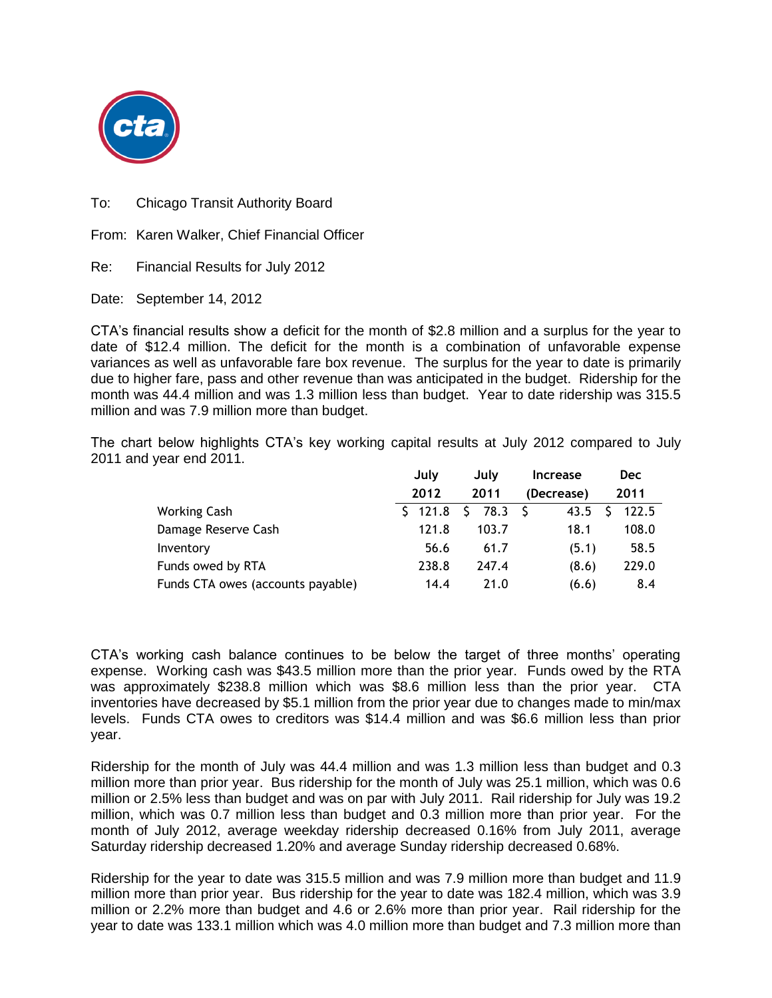

To: Chicago Transit Authority Board

From: Karen Walker, Chief Financial Officer

Re: Financial Results for July 2012

Date: September 14, 2012

CTA's financial results show a deficit for the month of \$2.8 million and a surplus for the year to date of \$12.4 million. The deficit for the month is a combination of unfavorable expense variances as well as unfavorable fare box revenue. The surplus for the year to date is primarily due to higher fare, pass and other revenue than was anticipated in the budget. Ridership for the month was 44.4 million and was 1.3 million less than budget. Year to date ridership was 315.5 million and was 7.9 million more than budget.

The chart below highlights CTA's key working capital results at July 2012 compared to July 2011 and year end 2011.

|                                   | July  |  | July  |  | <b>Increase</b> |  | <b>Dec</b> |  |
|-----------------------------------|-------|--|-------|--|-----------------|--|------------|--|
|                                   | 2012  |  | 2011  |  | (Decrease)      |  | 2011       |  |
| <b>Working Cash</b>               | 121.8 |  | 78.3  |  | 43.5            |  | 122.5      |  |
| Damage Reserve Cash               | 121.8 |  | 103.7 |  | 18.1            |  | 108.0      |  |
| Inventory                         | 56.6  |  | 61.7  |  | (5.1)           |  | 58.5       |  |
| Funds owed by RTA                 | 238.8 |  | 247.4 |  | (8.6)           |  | 229.0      |  |
| Funds CTA owes (accounts payable) | 14.4  |  | 21.0  |  | (6.6)           |  | 8.4        |  |

CTA's working cash balance continues to be below the target of three months' operating expense. Working cash was \$43.5 million more than the prior year. Funds owed by the RTA was approximately \$238.8 million which was \$8.6 million less than the prior year. CTA inventories have decreased by \$5.1 million from the prior year due to changes made to min/max levels. Funds CTA owes to creditors was \$14.4 million and was \$6.6 million less than prior year.

Ridership for the month of July was 44.4 million and was 1.3 million less than budget and 0.3 million more than prior year. Bus ridership for the month of July was 25.1 million, which was 0.6 million or 2.5% less than budget and was on par with July 2011. Rail ridership for July was 19.2 million, which was 0.7 million less than budget and 0.3 million more than prior year. For the month of July 2012, average weekday ridership decreased 0.16% from July 2011, average Saturday ridership decreased 1.20% and average Sunday ridership decreased 0.68%.

Ridership for the year to date was 315.5 million and was 7.9 million more than budget and 11.9 million more than prior year. Bus ridership for the year to date was 182.4 million, which was 3.9 million or 2.2% more than budget and 4.6 or 2.6% more than prior year. Rail ridership for the year to date was 133.1 million which was 4.0 million more than budget and 7.3 million more than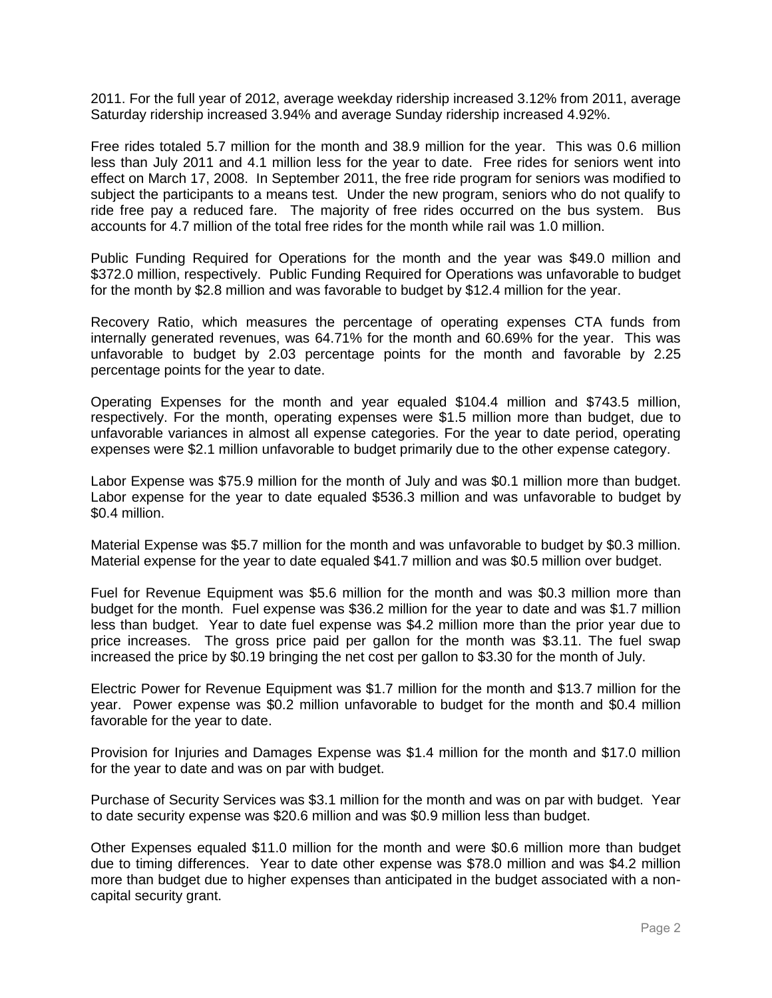2011. For the full year of 2012, average weekday ridership increased 3.12% from 2011, average Saturday ridership increased 3.94% and average Sunday ridership increased 4.92%.

Free rides totaled 5.7 million for the month and 38.9 million for the year. This was 0.6 million less than July 2011 and 4.1 million less for the year to date. Free rides for seniors went into effect on March 17, 2008. In September 2011, the free ride program for seniors was modified to subject the participants to a means test. Under the new program, seniors who do not qualify to ride free pay a reduced fare. The majority of free rides occurred on the bus system. Bus accounts for 4.7 million of the total free rides for the month while rail was 1.0 million.

Public Funding Required for Operations for the month and the year was \$49.0 million and \$372.0 million, respectively. Public Funding Required for Operations was unfavorable to budget for the month by \$2.8 million and was favorable to budget by \$12.4 million for the year.

Recovery Ratio, which measures the percentage of operating expenses CTA funds from internally generated revenues, was 64.71% for the month and 60.69% for the year. This was unfavorable to budget by 2.03 percentage points for the month and favorable by 2.25 percentage points for the year to date.

Operating Expenses for the month and year equaled \$104.4 million and \$743.5 million, respectively. For the month, operating expenses were \$1.5 million more than budget, due to unfavorable variances in almost all expense categories. For the year to date period, operating expenses were \$2.1 million unfavorable to budget primarily due to the other expense category.

Labor Expense was \$75.9 million for the month of July and was \$0.1 million more than budget. Labor expense for the year to date equaled \$536.3 million and was unfavorable to budget by \$0.4 million.

Material Expense was \$5.7 million for the month and was unfavorable to budget by \$0.3 million. Material expense for the year to date equaled \$41.7 million and was \$0.5 million over budget.

Fuel for Revenue Equipment was \$5.6 million for the month and was \$0.3 million more than budget for the month. Fuel expense was \$36.2 million for the year to date and was \$1.7 million less than budget. Year to date fuel expense was \$4.2 million more than the prior year due to price increases. The gross price paid per gallon for the month was \$3.11. The fuel swap increased the price by \$0.19 bringing the net cost per gallon to \$3.30 for the month of July.

Electric Power for Revenue Equipment was \$1.7 million for the month and \$13.7 million for the year. Power expense was \$0.2 million unfavorable to budget for the month and \$0.4 million favorable for the year to date.

Provision for Injuries and Damages Expense was \$1.4 million for the month and \$17.0 million for the year to date and was on par with budget.

Purchase of Security Services was \$3.1 million for the month and was on par with budget. Year to date security expense was \$20.6 million and was \$0.9 million less than budget.

Other Expenses equaled \$11.0 million for the month and were \$0.6 million more than budget due to timing differences. Year to date other expense was \$78.0 million and was \$4.2 million more than budget due to higher expenses than anticipated in the budget associated with a noncapital security grant.